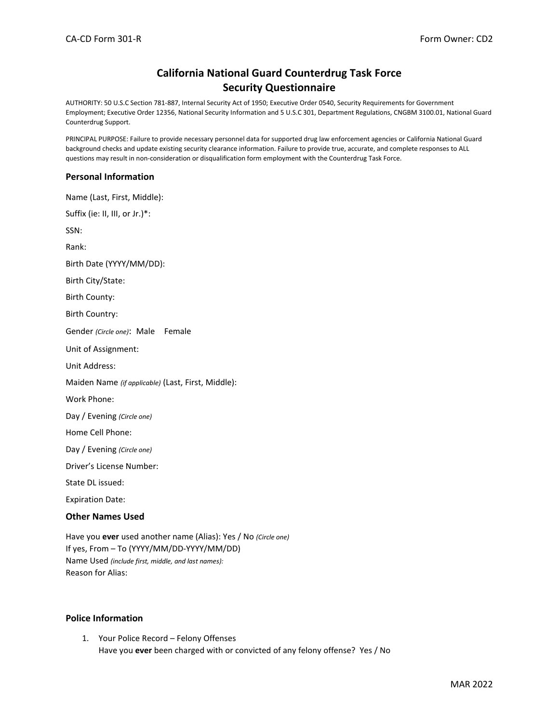# **California National Guard Counterdrug Task Force Security Questionnaire**

AUTHORITY: 50 U.S.C Section 781-887, Internal Security Act of 1950; Executive Order 0540, Security Requirements for Government Employment; Executive Order 12356, National Security Information and 5 U.S.C 301, Department Regulations, CNGBM 3100.01, National Guard Counterdrug Support.

PRINCIPAL PURPOSE: Failure to provide necessary personnel data for supported drug law enforcement agencies or California National Guard background checks and update existing security clearance information. Failure to provide true, accurate, and complete responses to ALL questions may result in non-consideration or disqualification form employment with the Counterdrug Task Force.

#### **Personal Information**

Name (Last, First, Middle): Suffix (ie: II, III, or Jr.)\*: SSN: Rank: Birth Date (YYYY/MM/DD): Birth City/State: Birth County: Birth Country: Gender *(Circle one)*: Male Female Unit of Assignment: Unit Address: Maiden Name *(if applicable)* (Last, First, Middle): Work Phone: Day / Evening *(Circle one)* Home Cell Phone: Day / Evening *(Circle one)* Driver's License Number: State DL issued: Expiration Date:

## **Other Names Used**

Have you **ever** used another name (Alias): Yes / No *(Circle one)* If yes, From – To (YYYY/MM/DD-YYYY/MM/DD) Name Used *(include first, middle, and last names):* Reason for Alias:

## **Police Information**

1. Your Police Record – Felony Offenses Have you **ever** been charged with or convicted of any felony offense? Yes / No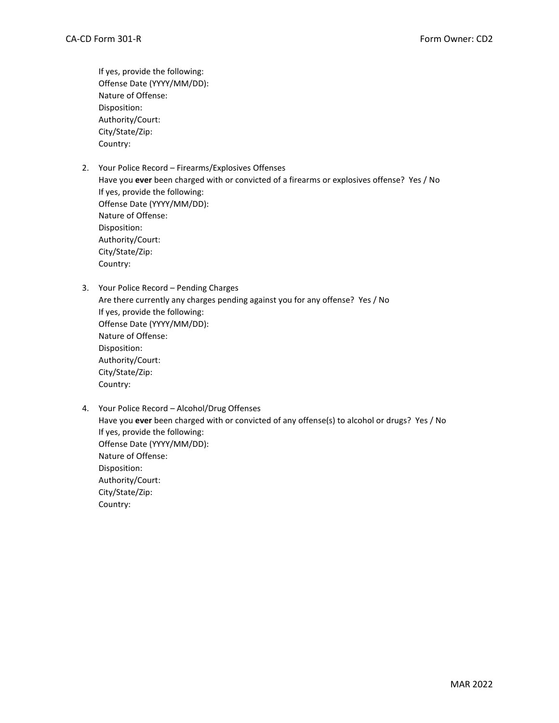If yes, provide the following: Offense Date (YYYY/MM/DD): Nature of Offense: Disposition: Authority/Court: City/State/Zip: Country:

2. Your Police Record – Firearms/Explosives Offenses

Have you **ever** been charged with or convicted of a firearms or explosives offense? Yes / No If yes, provide the following: Offense Date (YYYY/MM/DD): Nature of Offense: Disposition: Authority/Court: City/State/Zip: Country:

- 3. Your Police Record Pending Charges Are there currently any charges pending against you for any offense? Yes / No If yes, provide the following: Offense Date (YYYY/MM/DD): Nature of Offense: Disposition: Authority/Court: City/State/Zip: Country:
- 4. Your Police Record Alcohol/Drug Offenses Have you **ever** been charged with or convicted of any offense(s) to alcohol or drugs? Yes / No If yes, provide the following: Offense Date (YYYY/MM/DD): Nature of Offense: Disposition: Authority/Court: City/State/Zip: Country: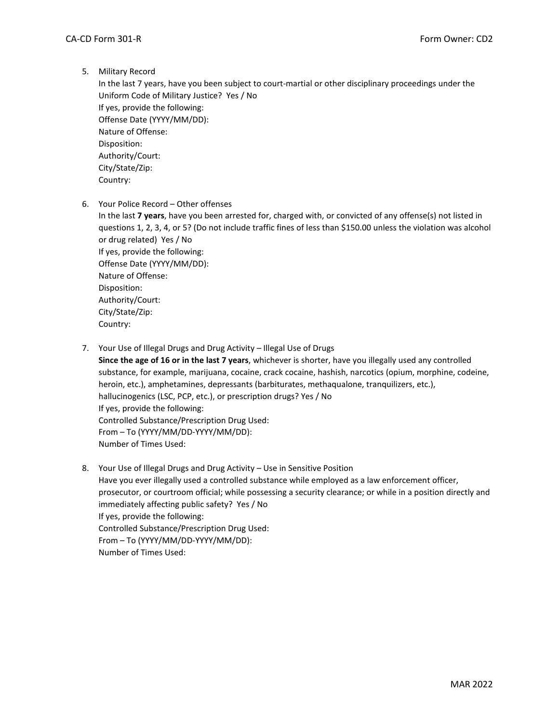5. Military Record

In the last 7 years, have you been subject to court-martial or other disciplinary proceedings under the Uniform Code of Military Justice? Yes / No If yes, provide the following: Offense Date (YYYY/MM/DD): Nature of Offense: Disposition: Authority/Court: City/State/Zip: Country:

6. Your Police Record – Other offenses

In the last **7 years**, have you been arrested for, charged with, or convicted of any offense(s) not listed in questions 1, 2, 3, 4, or 5? (Do not include traffic fines of less than \$150.00 unless the violation was alcohol or drug related) Yes / No If yes, provide the following: Offense Date (YYYY/MM/DD): Nature of Offense: Disposition: Authority/Court: City/State/Zip: Country:

7. Your Use of Illegal Drugs and Drug Activity – Illegal Use of Drugs

**Since the age of 16 or in the last 7 years**, whichever is shorter, have you illegally used any controlled substance, for example, marijuana, cocaine, crack cocaine, hashish, narcotics (opium, morphine, codeine, heroin, etc.), amphetamines, depressants (barbiturates, methaqualone, tranquilizers, etc.), hallucinogenics (LSC, PCP, etc.), or prescription drugs? Yes / No If yes, provide the following: Controlled Substance/Prescription Drug Used: From – To (YYYY/MM/DD-YYYY/MM/DD): Number of Times Used:

8. Your Use of Illegal Drugs and Drug Activity – Use in Sensitive Position Have you ever illegally used a controlled substance while employed as a law enforcement officer, prosecutor, or courtroom official; while possessing a security clearance; or while in a position directly and immediately affecting public safety? Yes / No If yes, provide the following: Controlled Substance/Prescription Drug Used: From – To (YYYY/MM/DD-YYYY/MM/DD): Number of Times Used: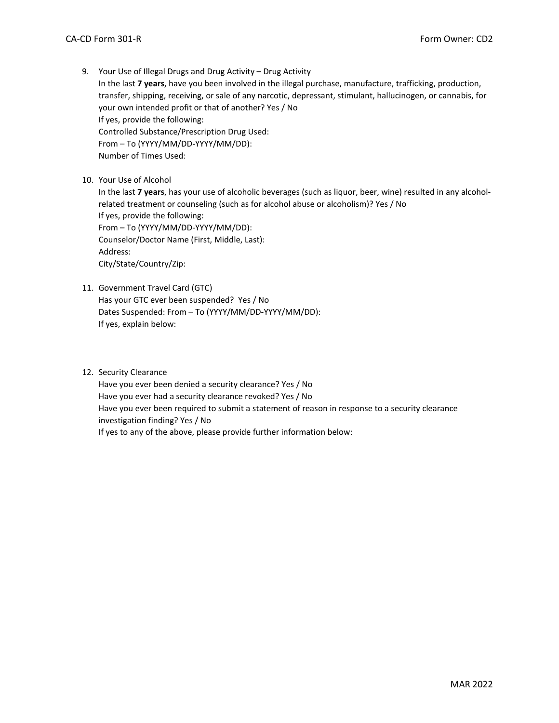9. Your Use of Illegal Drugs and Drug Activity – Drug Activity In the last **7 years**, have you been involved in the illegal purchase, manufacture, trafficking, production, transfer, shipping, receiving, or sale of any narcotic, depressant, stimulant, hallucinogen, or cannabis, for your own intended profit or that of another? Yes / No If yes, provide the following: Controlled Substance/Prescription Drug Used: From – To (YYYY/MM/DD-YYYY/MM/DD):

Number of Times Used:

10. Your Use of Alcohol

In the last **7 years**, has your use of alcoholic beverages (such as liquor, beer, wine) resulted in any alcoholrelated treatment or counseling (such as for alcohol abuse or alcoholism)? Yes / No If yes, provide the following: From – To (YYYY/MM/DD-YYYY/MM/DD): Counselor/Doctor Name (First, Middle, Last): Address: City/State/Country/Zip:

11. Government Travel Card (GTC)

Has your GTC ever been suspended? Yes / No Dates Suspended: From – To (YYYY/MM/DD-YYYY/MM/DD): If yes, explain below:

12. Security Clearance

Have you ever been denied a security clearance? Yes / No Have you ever had a security clearance revoked? Yes / No Have you ever been required to submit a statement of reason in response to a security clearance investigation finding? Yes / No If yes to any of the above, please provide further information below: